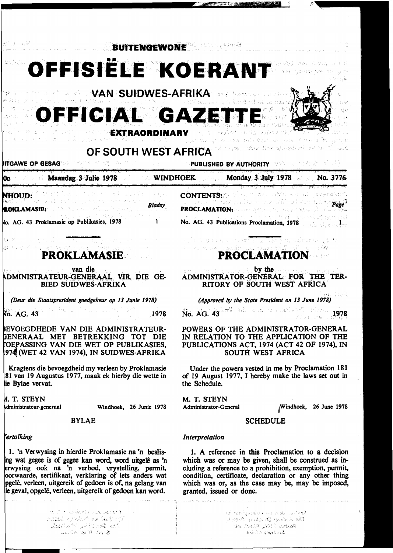,·~-·



 $\alpha$  , and the second construction of the second second second second second second second second second second second second second second second second second second second second second second second second second seco ~\. . : '- '~), -~ . , .. -:.;··· , •.. ~ *')*  ' . ·····::--. ;.·:; ··~ •. ·t':..~

... •><-f *'','::;;·:.* ·•1 *\_.·!*   $P$   $P$   $\omega_{\rm ch}$   $\sim$   $19\%$  ,  $19\%$  ,  $19\%$ :. ·#, -~: .~·"Ni-,;.-